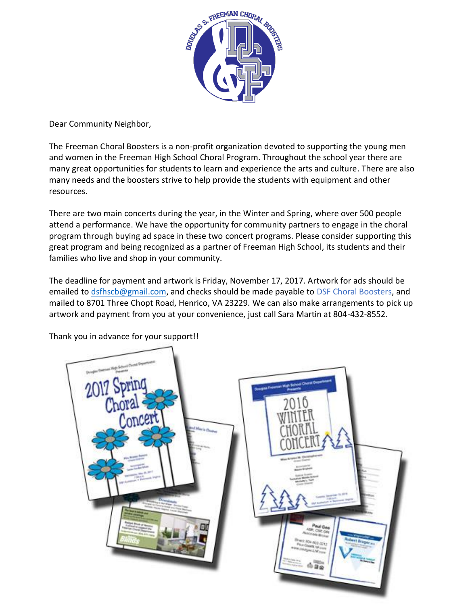

Dear Community Neighbor,

The Freeman Choral Boosters is a non-profit organization devoted to supporting the young men and women in the Freeman High School Choral Program. Throughout the school year there are many great opportunities for students to learn and experience the arts and culture. There are also many needs and the boosters strive to help provide the students with equipment and other resources.

There are two main concerts during the year, in the Winter and Spring, where over 500 people attend a performance. We have the opportunity for community partners to engage in the choral program through buying ad space in these two concert programs. Please consider supporting this great program and being recognized as a partner of Freeman High School, its students and their families who live and shop in your community.

The deadline for payment and artwork is Friday, November 17, 2017. Artwork for ads should be emailed to [dsfhscb@gmail.com,](mailto:dsfhscb@gmail.com) and checks should be made payable to DSF Choral Boosters, and mailed to 8701 Three Chopt Road, Henrico, VA 23229. We can also make arrangements to pick up artwork and payment from you at your convenience, just call Sara Martin at 804-432-8552.



Thank you in advance for your support!!